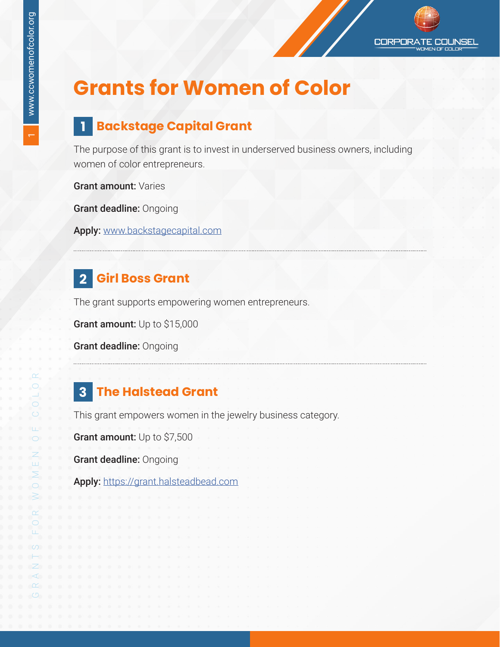$\overline{ }$ 

# **Grants for Women of Color**

#### **1 Backstage Capital Grant**

The purpose of this grant is to invest in underserved business owners, including women of color entrepreneurs.

**CORPOR** 

:NSFI

Grant amount: Varies

Grant deadline: Ongoing

Apply: [www.backstagecapital.com](http://www.backstagecapital.com)

#### **2 Girl Boss Grant**

The grant supports empowering women entrepreneurs.

Grant amount: Up to \$15,000

Grant deadline: Ongoing

#### **3 The Halstead Grant**

This grant empowers women in the jewelry business category.

Grant amount: Up to \$7,500

Grant deadline: Ongoing

Apply: <https://grant.halsteadbead.com>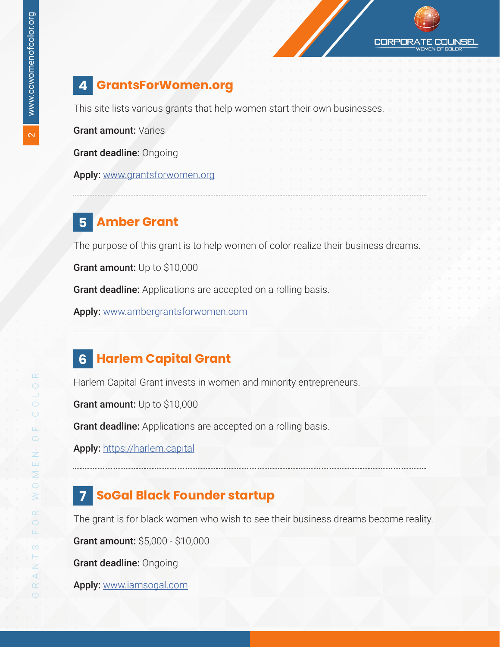

#### **4 GrantsForWomen.org**

This site lists various grants that help women start their own businesses.

Grant amount: Varies

Grant deadline: Ongoing

Apply: [www.grantsforwomen.org](http://www.grantsforwomen.org)

#### **5 Amber Grant**

The purpose of this grant is to help women of color realize their business dreams.

Grant amount: Up to \$10,000

Grant deadline: Applications are accepted on a rolling basis.

Apply: [www.ambergrantsforwomen.com](http://www.ambergrantsforwomen.com)

#### **6 Harlem Capital Grant**

Harlem Capital Grant invests in women and minority entrepreneurs.

Grant amount: Up to \$10,000

Grant deadline: Applications are accepted on a rolling basis.

Apply: [https://harlem.capital]( https://harlem.capital)

#### **7 SoGal Black Founder startup**

The grant is for black women who wish to see their business dreams become reality.

Grant amount: \$5,000 - \$10,000

Grant deadline: Ongoing

Apply: [www.iamsogal.com](http://www.iamsogal.com)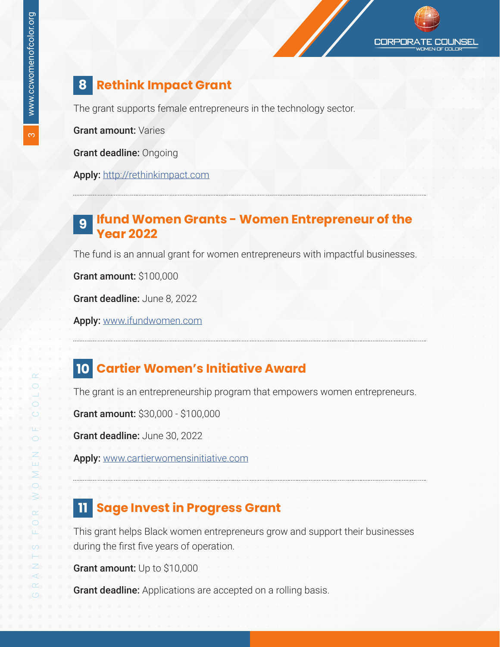#### **8 Rethink Impact Grant**

The grant supports female entrepreneurs in the technology sector.

Grant amount: Varies

Grant deadline: Ongoing

Apply: <http://rethinkimpact.com>

#### **Ifund Women Grants - Women Entrepreneur of the Year 2022 9**

The fund is an annual grant for women entrepreneurs with impactful businesses.

Grant amount: \$100,000

Grant deadline: June 8, 2022

Apply: [www.ifundwomen.com](http://www.ifundwomen.com)

#### **10 Cartier Women's Initiative Award**

The grant is an entrepreneurship program that empowers women entrepreneurs.

Grant amount: \$30,000 - \$100,000

Grant deadline: June 30, 2022

Apply: [www.cartierwomensinitiative.com](http://www.cartierwomensinitiative.com)

#### **11 Sage Invest in Progress Grant**

This grant helps Black women entrepreneurs grow and support their businesses during the first five years of operation.

Grant amount: Up to \$10,000

Grant deadline: Applications are accepted on a rolling basis.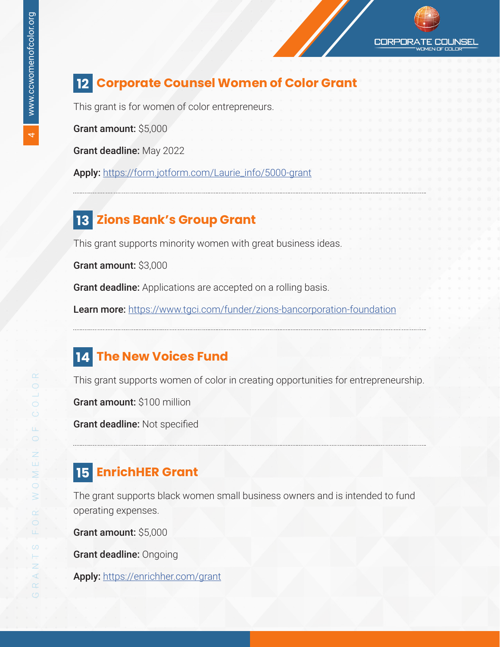

#### **12 Corporate Counsel Women of Color Grant**

This grant is for women of color entrepreneurs.

Grant amount: \$5,000

Grant deadline: May 2022

Apply: [https://form.jotform.com/Laurie\\_info/5000-grant](https://form.jotform.com/Laurie_info/5000-grant)

#### **13 Zions Bank's Group Grant**

This grant supports minority women with great business ideas.

Grant amount: \$3,000

Grant deadline: Applications are accepted on a rolling basis.

Learn more: <https://www.tgci.com/funder/zions-bancorporation-foundation>

#### **14 The New Voices Fund**

This grant supports women of color in creating opportunities for entrepreneurship.

Grant amount: \$100 million

Grant deadline: Not specified

#### **15 EnrichHER Grant**

The grant supports black women small business owners and is intended to fund operating expenses.

Grant amount: \$5,000

Grant deadline: Ongoing

Apply: <https://enrichher.com/grant>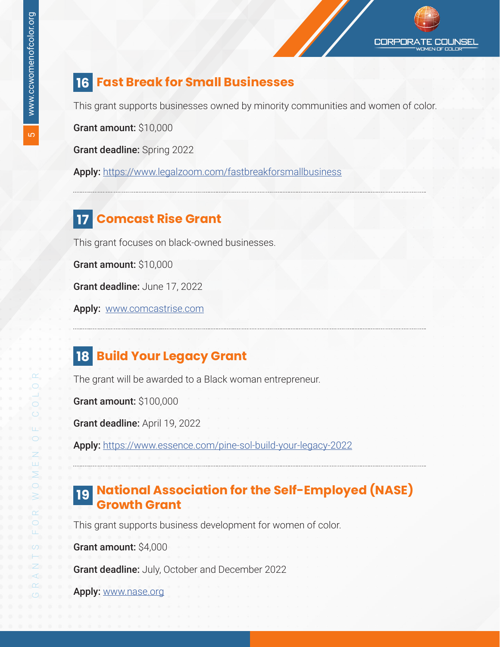#### **16 Fast Break for Small Businesses**

This grant supports businesses owned by minority communities and women of color.

Grant amount: \$10,000

Grant deadline: Spring 2022

Apply: <https://www.legalzoom.com/fastbreakforsmallbusiness>

#### **17 Comcast Rise Grant**

This grant focuses on black-owned businesses.

Grant amount: \$10,000

Grant deadline: June 17, 2022

Apply: [www.comcastrise.com](http://www.comcastrise.com)

#### **18 Build Your Legacy Grant**

The grant will be awarded to a Black woman entrepreneur.

Grant amount: \$100,000

Grant deadline: April 19, 2022

Apply[:]( https://harlem.capital) <https://www.essence.com/pine-sol-build-your-legacy-2022>

#### **National Association for the Self-Employed (NASE) 19Growth Grant**

This grant supports business development for women of color.

Grant amount: \$4,000

Grant deadline: July, October and December 2022

Apply: [www.nase.org](http://www.nase.org)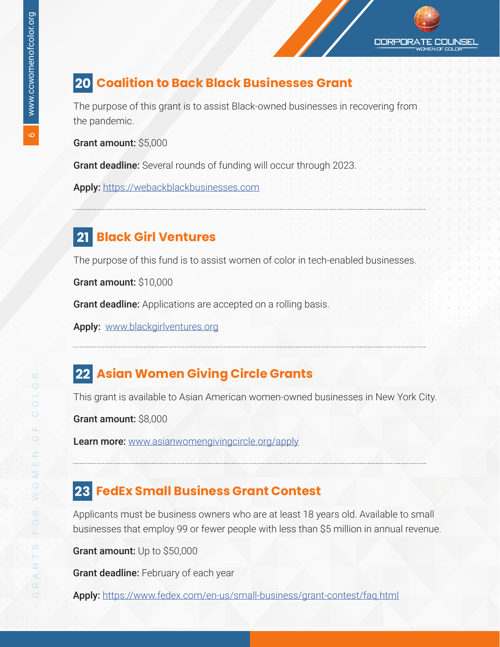#### **20 Coalition to Back Black Businesses Grant**

The purpose of this grant is to assist Black-owned businesses in recovering from the pandemic.

Grant amount: \$5,000

Grant deadline: Several rounds of funding will occur through 2023.

Apply: <https://webackblackbusinesses.com>

#### **21 Black Girl Ventures**

The purpose of this fund is to assist women of color in tech-enabled businesses.

Grant amount: \$10,000

Grant deadline: Applications are accepted on a rolling basis.

Apply: [www.blackgirlventures.org](http://www.blackgirlventures.org)

#### **22 Asian Women Giving Circle Grants**

This grant is available to Asian American women-owned businesses in New York City.

Grant amount: \$8,000

Learn more[:]( https://harlem.capital) [www.asianwomengivingcircle.org/apply](http://www.asianwomengivingcircle.org/apply)

#### **23 FedEx Small Business Grant Contest**

Applicants must be business owners who are at least 18 years old. Available to small businesses that employ 99 or fewer people with less than \$5 million in annual revenue.

Grant amount: Up to \$50,000

Grant deadline: February of each year

Apply: <https://www.fedex.com/en-us/small-business/grant-contest/faq.html>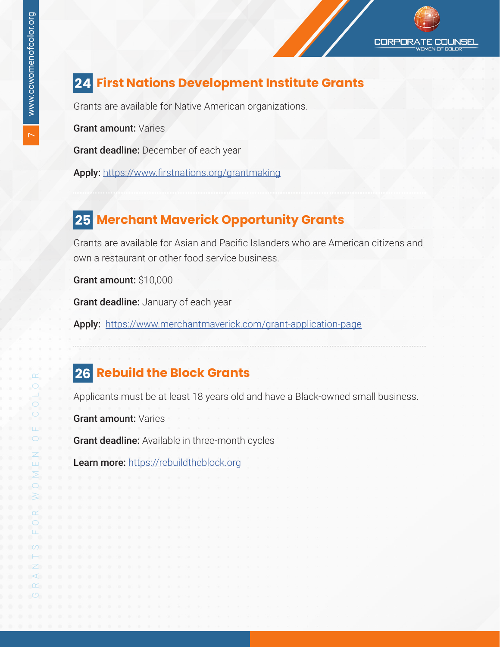## **24 First Nations Development Institute Grants**

Grants are available for Native American organizations.

Grant amount: Varies

Grant deadline: December of each year

Apply: <https://www.firstnations.org/grantmaking>

#### **25 Merchant Maverick Opportunity Grants**

Grants are available for Asian and Pacific Islanders who are American citizens and own a restaurant or other food service business.

Grant amount: \$10,000

Grant deadline: January of each year

Apply: <https://www.merchantmaverick.com/grant-application-page>

#### **26 Rebuild the Block Grants**

Applicants must be at least 18 years old and have a Black-owned small business.

Grant amount: Varies

Grant deadline: Available in three-month cycles

Learn more[:]( https://harlem.capital) [https://rebuildtheblock.org](https://rebuildtheblock.org/)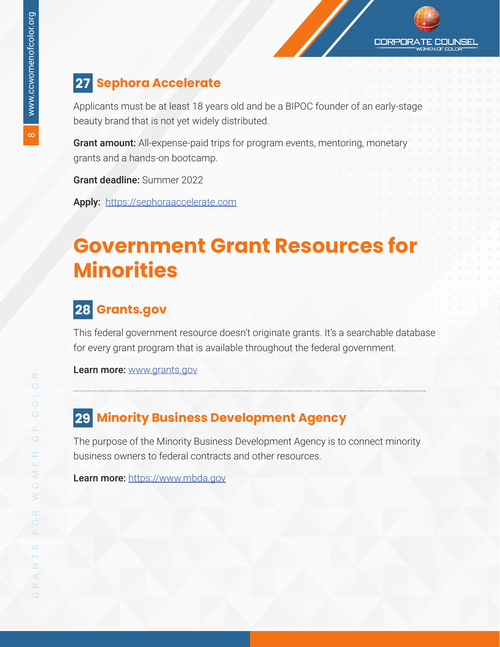#### **CORPORA** COI INSEL

#### **27 Sephora Accelerate**

Applicants must be at least 18 years old and be a BIPOC founder of an early-stage beauty brand that is not yet widely distributed.

Grant amount: All-expense-paid trips for program events, mentoring, monetary grants and a hands-on bootcamp.

Grant deadline: Summer 2022

Apply: <https://sephoraaccelerate.com>

## **Government Grant Resources for Minorities**

#### **28 Grants.gov**

This federal government resource doesn't originate grants. It's a searchable database for every grant program that is available throughout the federal government.

Learn more: [www.grants.gov](http://www.grants.gov)

#### **29 Minority Business Development Agency**

The purpose of the Minority Business Development Agency is to connect minority business owners to federal contracts and other resources.

Learn more: <https://www.mbda.gov>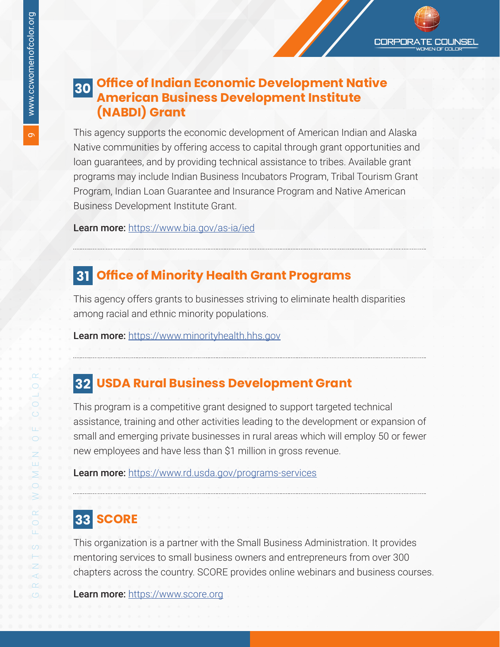#### **Office of Indian Economic Development Native 30American Business Development Institute (NABDI) Grant**

This agency supports the economic development of American Indian and Alaska Native communities by offering access to capital through grant opportunities and loan guarantees, and by providing technical assistance to tribes. Available grant programs may include Indian Business Incubators Program, Tribal Tourism Grant Program, Indian Loan Guarantee and Insurance Program and Native American Business Development Institute Grant.

Learn more: <https://www.bia.gov/as-ia/ied>

#### **31 Office of Minority Health Grant Programs**

This agency offers grants to businesses striving to eliminate health disparities among racial and ethnic minority populations.

Learn more: <https://www.minorityhealth.hhs.gov>

#### **32 USDA Rural Business Development Grant**

This program is a competitive grant designed to support targeted technical assistance, training and other activities leading to the development or expansion of small and emerging private businesses in rural areas which will employ 50 or fewer new employees and have less than \$1 million in gross revenue.

Learn more: <https://www.rd.usda.gov/programs-services>

#### **33 SCORE**

This organization is a partner with the Small Business Administration. It provides mentoring services to small business owners and entrepreneurs from over 300 chapters across the country. SCORE provides online webinars and business courses.

Learn more: <https://www.score.org>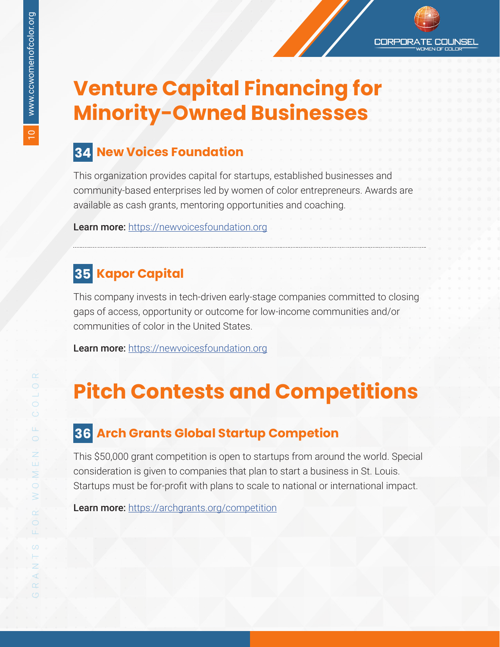**CORPOR4** COI INSEL

# **Venture Capital Financing for Minority-Owned Businesses**

#### **34 New Voices Foundation**

This organization provides capital for startups, established businesses and community-based enterprises led by women of color entrepreneurs. Awards are available as cash grants, mentoring opportunities and coaching.

Learn more: <https://newvoicesfoundation.org>

### **35 Kapor Capital**

This company invests in tech-driven early-stage companies committed to closing gaps of access, opportunity or outcome for low-income communities and/or communities of color in the United States.

Learn more: [https://newvoicesfoundation.org](https://www.kaporcapital.com/)

## **Pitch Contests and Competitions**

#### **36 Arch Grants Global Startup Competion**

This \$50,000 grant competition is open to startups from around the world. Special consideration is given to companies that plan to start a business in St. Louis. Startups must be for-profit with plans to scale to national or international impact.

Learn more: <https://archgrants.org/competition>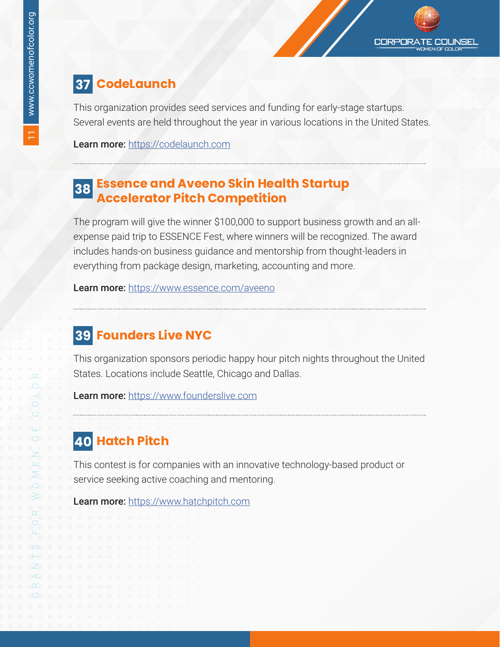#### **37 CodeLaunch**

This organization provides seed services and funding for early-stage startups. Several events are held throughout the year in various locations in the United States.

Learn more: <https://codelaunch.com>

# **Essence and Aveeno Skin Health Startup Accelerator Pitch Competition <sup>38</sup>**

The program will give the winner \$100,000 to support business growth and an allexpense paid trip to ESSENCE Fest, where winners will be recognized. The award includes hands-on business guidance and mentorship from thought-leaders in everything from package design, marketing, accounting and more.

Learn more: <https://www.essence.com/aveeno>

#### **39 Founders Live NYC**

This organization sponsors periodic happy hour pitch nights throughout the United States. Locations include Seattle, Chicago and Dallas.

Learn more: <https://www.founderslive.com>

## **40 Hatch Pitch**

This contest is for companies with an innovative technology-based product or service seeking active coaching and mentoring.

Learn more: <https://www.hatchpitch.com>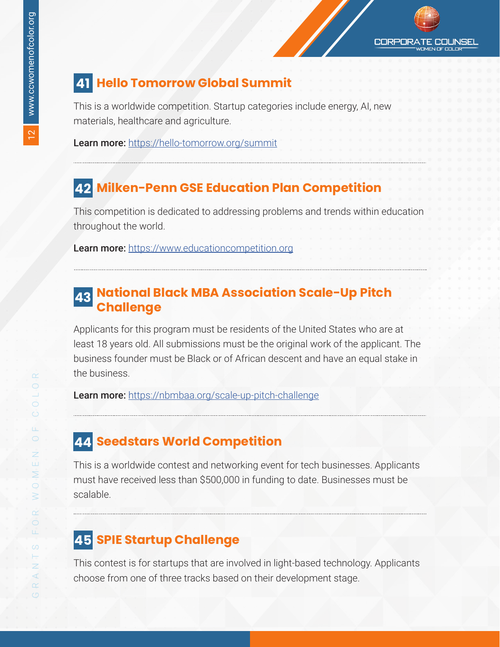#### **41 Hello Tomorrow Global Summit**

This is a worldwide competition. Startup categories include energy, AI, new materials, healthcare and agriculture.

Learn more: <https://hello-tomorrow.org/summit>

#### **42 Milken-Penn GSE Education Plan Competition**

This competition is dedicated to addressing problems and trends within education throughout the world.

Learn more: <https://www.educationcompetition.org>

#### **National Black MBA Association Scale-Up Pitch 43 Challenge**

Applicants for this program must be residents of the United States who are at least 18 years old. All submissions must be the original work of the applicant. The business founder must be Black or of African descent and have an equal stake in the business.

Learn more: <https://nbmbaa.org/scale-up-pitch-challenge>

#### **44 Seedstars World Competition**

This is a worldwide contest and networking event for tech businesses. Applicants must have received less than \$500,000 in funding to date. Businesses must be scalable.

#### **45 SPIE Startup Challenge**

This contest is for startups that are involved in light-based technology. Applicants choose from one of three tracks based on their development stage.